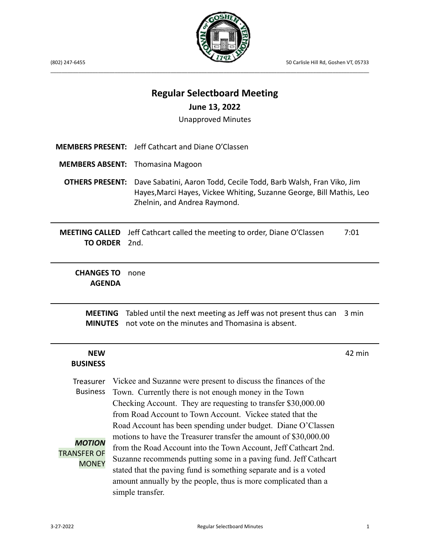

(802) 247-6455 50 Carlisle Hill Rd, Goshen VT, 05733

## **Regular Selectboard Meeting**

\_\_\_\_\_\_\_\_\_\_\_\_\_\_\_\_\_\_\_\_\_\_\_\_\_\_\_\_\_\_\_\_\_\_\_\_\_\_\_\_\_\_\_\_\_\_\_\_\_\_\_\_\_\_\_\_\_\_\_\_\_\_\_\_\_\_\_\_\_\_\_\_\_\_\_\_\_\_\_\_\_\_\_\_\_\_\_\_\_\_\_\_\_\_\_\_\_\_\_\_\_\_\_\_\_\_\_\_\_\_\_\_\_\_

### **June 13, 2022**

Unapproved Minutes

| <b>MEMBERS PRESENT:</b>                                                                                                                                         | Jeff Cathcart and Diane O'Classen                                                                                                                                                                                                                                                                                                                                |        |  |  |
|-----------------------------------------------------------------------------------------------------------------------------------------------------------------|------------------------------------------------------------------------------------------------------------------------------------------------------------------------------------------------------------------------------------------------------------------------------------------------------------------------------------------------------------------|--------|--|--|
| <b>MEMBERS ABSENT:</b>                                                                                                                                          | <b>Thomasina Magoon</b>                                                                                                                                                                                                                                                                                                                                          |        |  |  |
| <b>OTHERS PRESENT:</b>                                                                                                                                          | Dave Sabatini, Aaron Todd, Cecile Todd, Barb Walsh, Fran Viko, Jim<br>Hayes, Marci Hayes, Vickee Whiting, Suzanne George, Bill Mathis, Leo<br>Zhelnin, and Andrea Raymond.                                                                                                                                                                                       |        |  |  |
| <b>MEETING CALLED</b><br><b>TO ORDER</b>                                                                                                                        | Jeff Cathcart called the meeting to order, Diane O'Classen<br>2nd.                                                                                                                                                                                                                                                                                               | 7:01   |  |  |
| <b>CHANGES TO</b><br>none<br><b>AGENDA</b>                                                                                                                      |                                                                                                                                                                                                                                                                                                                                                                  |        |  |  |
| Tabled until the next meeting as Jeff was not present thus can<br><b>MEETING</b><br>3 min<br>not vote on the minutes and Thomasina is absent.<br><b>MINUTES</b> |                                                                                                                                                                                                                                                                                                                                                                  |        |  |  |
| <b>NEW</b><br><b>BUSINESS</b>                                                                                                                                   |                                                                                                                                                                                                                                                                                                                                                                  | 42 min |  |  |
| Treasurer<br><b>Business</b>                                                                                                                                    | Vickee and Suzanne were present to discuss the finances of the<br>Town. Currently there is not enough money in the Town<br>Checking Account. They are requesting to transfer \$30,000.00<br>from Road Account to Town Account. Vickee stated that the<br>Road Account has been spending under budget. Diane O'Classen                                            |        |  |  |
| <b>MOTION</b><br><b>TRANSFER OF</b><br><b>MONEY</b>                                                                                                             | motions to have the Treasurer transfer the amount of \$30,000.00<br>from the Road Account into the Town Account, Jeff Cathcart 2nd.<br>Suzanne recommends putting some in a paving fund. Jeff Cathcart<br>stated that the paving fund is something separate and is a voted<br>amount annually by the people, thus is more complicated than a<br>simple transfer. |        |  |  |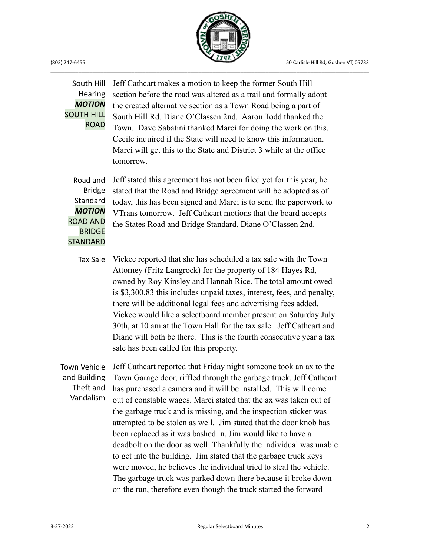

### South Hill Hearing *MOTION* SOUTH HILL ROAD

Jeff Cathcart makes a motion to keep the former South Hill section before the road was altered as a trail and formally adopt the created alternative section as a Town Road being a part of South Hill Rd. Diane O'Classen 2nd. Aaron Todd thanked the Town. Dave Sabatini thanked Marci for doing the work on this. Cecile inquired if the State will need to know this information. Marci will get this to the State and District 3 while at the office tomorrow.

Road and Bridge Standard *MOTION* ROAD AND BRIDGE **STANDARD** 

Jeff stated this agreement has not been filed yet for this year, he stated that the Road and Bridge agreement will be adopted as of today, this has been signed and Marci is to send the paperwork to VTrans tomorrow. Jeff Cathcart motions that the board accepts the States Road and Bridge Standard, Diane O'Classen 2nd.

Tax Sale Vickee reported that she has scheduled a tax sale with the Town Attorney (Fritz Langrock) for the property of 184 Hayes Rd, owned by Roy Kinsley and Hannah Rice. The total amount owed is \$3,300.83 this includes unpaid taxes, interest, fees, and penalty, there will be additional legal fees and advertising fees added. Vickee would like a selectboard member present on Saturday July 30th, at 10 am at the Town Hall for the tax sale. Jeff Cathcart and Diane will both be there. This is the fourth consecutive year a tax sale has been called for this property.

Town Vehicle and Building Theft and Vandalism Jeff Cathcart reported that Friday night someone took an ax to the Town Garage door, riffled through the garbage truck. Jeff Cathcart has purchased a camera and it will be installed. This will come out of constable wages. Marci stated that the ax was taken out of the garbage truck and is missing, and the inspection sticker was attempted to be stolen as well. Jim stated that the door knob has been replaced as it was bashed in, Jim would like to have a deadbolt on the door as well. Thankfully the individual was unable to get into the building. Jim stated that the garbage truck keys were moved, he believes the individual tried to steal the vehicle. The garbage truck was parked down there because it broke down on the run, therefore even though the truck started the forward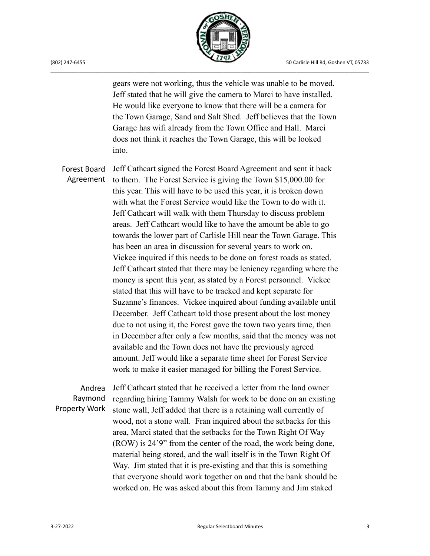

gears were not working, thus the vehicle was unable to be moved. Jeff stated that he will give the camera to Marci to have installed. He would like everyone to know that there will be a camera for the Town Garage, Sand and Salt Shed. Jeff believes that the Town Garage has wifi already from the Town Office and Hall. Marci does not think it reaches the Town Garage, this will be looked into.

Forest Board Agreement Jeff Cathcart signed the Forest Board Agreement and sent it back to them. The Forest Service is giving the Town \$15,000.00 for this year. This will have to be used this year, it is broken down with what the Forest Service would like the Town to do with it. Jeff Cathcart will walk with them Thursday to discuss problem areas. Jeff Cathcart would like to have the amount be able to go towards the lower part of Carlisle Hill near the Town Garage. This has been an area in discussion for several years to work on. Vickee inquired if this needs to be done on forest roads as stated. Jeff Cathcart stated that there may be leniency regarding where the money is spent this year, as stated by a Forest personnel. Vickee stated that this will have to be tracked and kept separate for Suzanne's finances. Vickee inquired about funding available until December. Jeff Cathcart told those present about the lost money due to not using it, the Forest gave the town two years time, then in December after only a few months, said that the money was not available and the Town does not have the previously agreed amount. Jeff would like a separate time sheet for Forest Service work to make it easier managed for billing the Forest Service.

Andrea Raymond Property Work Jeff Cathcart stated that he received a letter from the land owner regarding hiring Tammy Walsh for work to be done on an existing stone wall, Jeff added that there is a retaining wall currently of wood, not a stone wall. Fran inquired about the setbacks for this area, Marci stated that the setbacks for the Town Right Of Way (ROW) is 24'9" from the center of the road, the work being done, material being stored, and the wall itself is in the Town Right Of Way. Jim stated that it is pre-existing and that this is something that everyone should work together on and that the bank should be worked on. He was asked about this from Tammy and Jim staked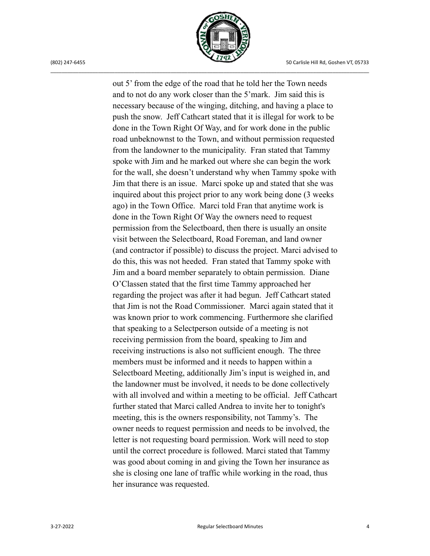

out 5' from the edge of the road that he told her the Town needs and to not do any work closer than the 5'mark. Jim said this is necessary because of the winging, ditching, and having a place to push the snow. Jeff Cathcart stated that it is illegal for work to be done in the Town Right Of Way, and for work done in the public road unbeknownst to the Town, and without permission requested from the landowner to the municipality. Fran stated that Tammy spoke with Jim and he marked out where she can begin the work for the wall, she doesn't understand why when Tammy spoke with Jim that there is an issue. Marci spoke up and stated that she was inquired about this project prior to any work being done (3 weeks ago) in the Town Office. Marci told Fran that anytime work is done in the Town Right Of Way the owners need to request permission from the Selectboard, then there is usually an onsite visit between the Selectboard, Road Foreman, and land owner (and contractor if possible) to discuss the project. Marci advised to do this, this was not heeded. Fran stated that Tammy spoke with Jim and a board member separately to obtain permission. Diane O'Classen stated that the first time Tammy approached her regarding the project was after it had begun. Jeff Cathcart stated that Jim is not the Road Commissioner. Marci again stated that it was known prior to work commencing. Furthermore she clarified that speaking to a Selectperson outside of a meeting is not receiving permission from the board, speaking to Jim and receiving instructions is also not sufficient enough. The three members must be informed and it needs to happen within a Selectboard Meeting, additionally Jim's input is weighed in, and the landowner must be involved, it needs to be done collectively with all involved and within a meeting to be official. Jeff Cathcart further stated that Marci called Andrea to invite her to tonight's meeting, this is the owners responsibility, not Tammy's. The owner needs to request permission and needs to be involved, the letter is not requesting board permission. Work will need to stop until the correct procedure is followed. Marci stated that Tammy was good about coming in and giving the Town her insurance as she is closing one lane of traffic while working in the road, thus her insurance was requested.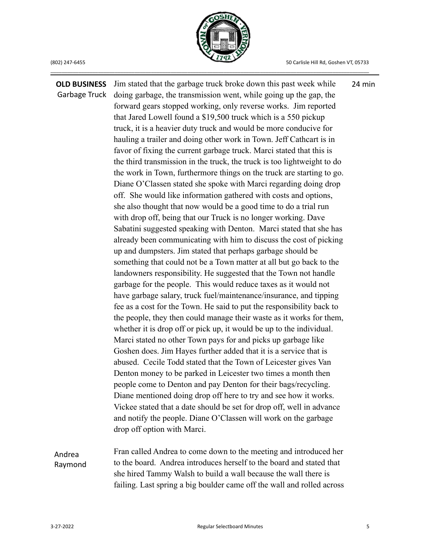

**OLD BUSINESS** Garbage Truck Andrea Raymond Jim stated that the garbage truck broke down this past week while doing garbage, the transmission went, while going up the gap, the forward gears stopped working, only reverse works. Jim reported that Jared Lowell found a \$19,500 truck which is a 550 pickup truck, it is a heavier duty truck and would be more conducive for hauling a trailer and doing other work in Town. Jeff Cathcart is in favor of fixing the current garbage truck. Marci stated that this is the third transmission in the truck, the truck is too lightweight to do the work in Town, furthermore things on the truck are starting to go. Diane O'Classen stated she spoke with Marci regarding doing drop off. She would like information gathered with costs and options, she also thought that now would be a good time to do a trial run with drop off, being that our Truck is no longer working. Dave Sabatini suggested speaking with Denton. Marci stated that she has already been communicating with him to discuss the cost of picking up and dumpsters. Jim stated that perhaps garbage should be something that could not be a Town matter at all but go back to the landowners responsibility. He suggested that the Town not handle garbage for the people. This would reduce taxes as it would not have garbage salary, truck fuel/maintenance/insurance, and tipping fee as a cost for the Town. He said to put the responsibility back to the people, they then could manage their waste as it works for them, whether it is drop off or pick up, it would be up to the individual. Marci stated no other Town pays for and picks up garbage like Goshen does. Jim Hayes further added that it is a service that is abused. Cecile Todd stated that the Town of Leicester gives Van Denton money to be parked in Leicester two times a month then people come to Denton and pay Denton for their bags/recycling. Diane mentioned doing drop off here to try and see how it works. Vickee stated that a date should be set for drop off, well in advance and notify the people. Diane O'Classen will work on the garbage drop off option with Marci. Fran called Andrea to come down to the meeting and introduced her to the board. Andrea introduces herself to the board and stated that she hired Tammy Walsh to build a wall because the wall there is failing. Last spring a big boulder came off the wall and rolled across 24 min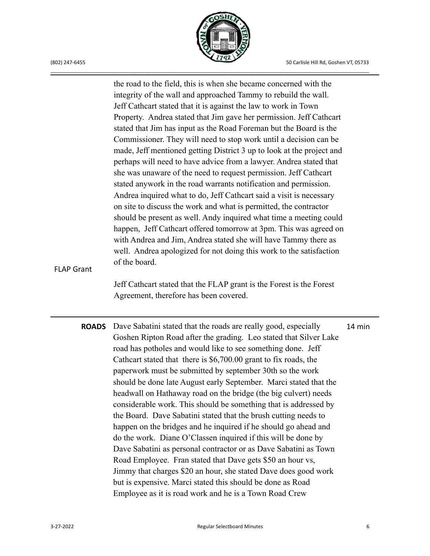

the road to the field, this is when she became concerned with the integrity of the wall and approached Tammy to rebuild the wall. Jeff Cathcart stated that it is against the law to work in Town Property. Andrea stated that Jim gave her permission. Jeff Cathcart stated that Jim has input as the Road Foreman but the Board is the Commissioner. They will need to stop work until a decision can be made, Jeff mentioned getting District 3 up to look at the project and perhaps will need to have advice from a lawyer. Andrea stated that she was unaware of the need to request permission. Jeff Cathcart stated anywork in the road warrants notification and permission. Andrea inquired what to do, Jeff Cathcart said a visit is necessary on site to discuss the work and what is permitted, the contractor should be present as well. Andy inquired what time a meeting could happen, Jeff Cathcart offered tomorrow at 3pm. This was agreed on with Andrea and Jim, Andrea stated she will have Tammy there as well. Andrea apologized for not doing this work to the satisfaction of the board. Jeff Cathcart stated that the FLAP grant is the Forest is the Forest Agreement, therefore has been covered. **ROADS** Dave Sabatini stated that the roads are really good, especially Goshen Ripton Road after the grading. Leo stated that Silver Lake road has potholes and would like to see something done. Jeff

FLAP Grant

Cathcart stated that there is \$6,700.00 grant to fix roads, the paperwork must be submitted by september 30th so the work should be done late August early September. Marci stated that the headwall on Hathaway road on the bridge (the big culvert) needs considerable work. This should be something that is addressed by the Board. Dave Sabatini stated that the brush cutting needs to happen on the bridges and he inquired if he should go ahead and do the work. Diane O'Classen inquired if this will be done by Dave Sabatini as personal contractor or as Dave Sabatini as Town Road Employee. Fran stated that Dave gets \$50 an hour vs, Jimmy that charges \$20 an hour, she stated Dave does good work but is expensive. Marci stated this should be done as Road Employee as it is road work and he is a Town Road Crew 14 min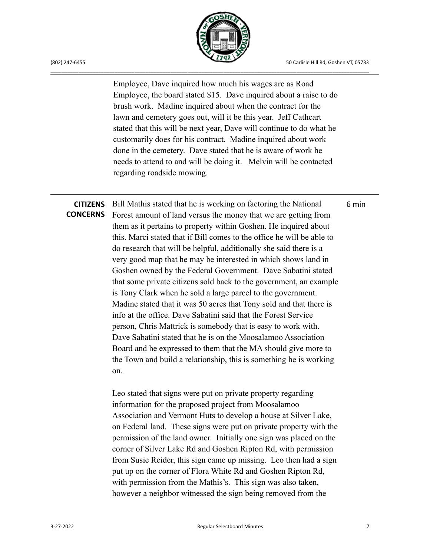(802) 247-6455 50 Carlisle Hill Rd, Goshen VT, 05733

6 min



\_\_\_\_\_\_\_\_\_\_\_\_\_\_\_\_\_\_\_\_\_\_\_\_\_\_\_\_\_\_\_\_\_\_\_\_\_\_\_\_\_\_\_\_\_\_\_\_\_\_\_\_\_\_\_\_\_\_\_\_\_\_\_\_\_\_\_\_\_\_\_\_\_\_\_\_\_\_\_\_\_\_\_\_\_\_\_\_\_\_\_\_\_\_\_\_\_\_\_\_\_\_\_\_\_\_\_\_\_\_\_\_\_\_

Employee, Dave inquired how much his wages are as Road Employee, the board stated \$15. Dave inquired about a raise to do brush work. Madine inquired about when the contract for the lawn and cemetery goes out, will it be this year. Jeff Cathcart stated that this will be next year, Dave will continue to do what he customarily does for his contract. Madine inquired about work done in the cemetery. Dave stated that he is aware of work he needs to attend to and will be doing it. Melvin will be contacted regarding roadside mowing.

# **CITIZENS**

**CONCERNS** Forest amount of land versus the money that we are getting from Bill Mathis stated that he is working on factoring the National them as it pertains to property within Goshen. He inquired about this. Marci stated that if Bill comes to the office he will be able to do research that will be helpful, additionally she said there is a very good map that he may be interested in which shows land in Goshen owned by the Federal Government. Dave Sabatini stated that some private citizens sold back to the government, an example is Tony Clark when he sold a large parcel to the government. Madine stated that it was 50 acres that Tony sold and that there is info at the office. Dave Sabatini said that the Forest Service person, Chris Mattrick is somebody that is easy to work with. Dave Sabatini stated that he is on the Moosalamoo Association Board and he expressed to them that the MA should give more to the Town and build a relationship, this is something he is working on.

> Leo stated that signs were put on private property regarding information for the proposed project from Moosalamoo Association and Vermont Huts to develop a house at Silver Lake, on Federal land. These signs were put on private property with the permission of the land owner. Initially one sign was placed on the corner of Silver Lake Rd and Goshen Ripton Rd, with permission from Susie Reider, this sign came up missing. Leo then had a sign put up on the corner of Flora White Rd and Goshen Ripton Rd, with permission from the Mathis's. This sign was also taken, however a neighbor witnessed the sign being removed from the